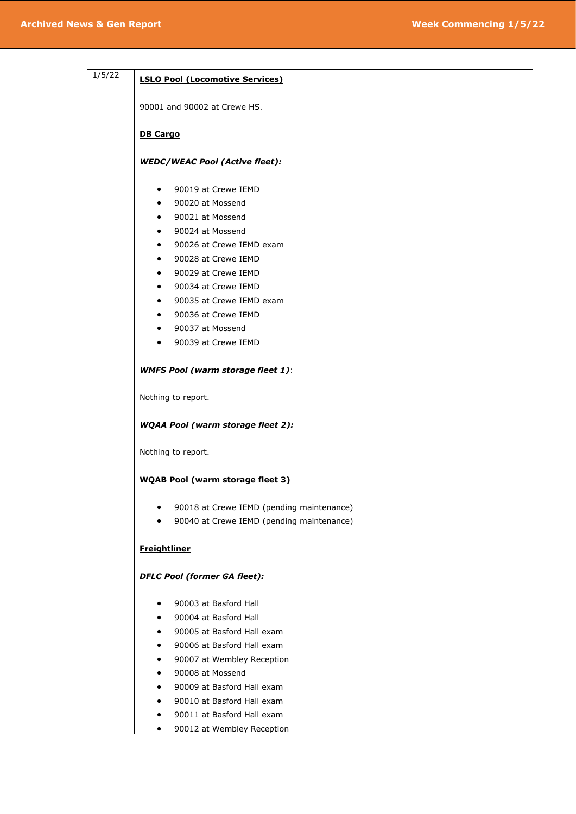| 1/5/22 | <b>LSLO Pool (Locomotive Services)</b>    |
|--------|-------------------------------------------|
|        | 90001 and 90002 at Crewe HS.              |
|        |                                           |
|        | <b>DB Cargo</b>                           |
|        | <b>WEDC/WEAC Pool (Active fleet):</b>     |
|        | 90019 at Crewe IEMD<br>٠                  |
|        | 90020 at Mossend                          |
|        | 90021 at Mossend<br>٠                     |
|        | 90024 at Mossend                          |
|        | 90026 at Crewe IEMD exam                  |
|        | 90028 at Crewe IEMD                       |
|        | 90029 at Crewe IEMD                       |
|        | 90034 at Crewe IEMD<br>$\bullet$          |
|        | 90035 at Crewe IEMD exam                  |
|        | 90036 at Crewe IEMD                       |
|        | 90037 at Mossend                          |
|        | 90039 at Crewe IEMD<br>٠                  |
|        | <b>WMFS Pool (warm storage fleet 1):</b>  |
|        | Nothing to report.                        |
|        | <b>WQAA Pool (warm storage fleet 2):</b>  |
|        | Nothing to report.                        |
|        | <b>WQAB Pool (warm storage fleet 3)</b>   |
|        | 90018 at Crewe IEMD (pending maintenance) |
|        | 90040 at Crewe IEMD (pending maintenance) |
|        | <b>Freightliner</b>                       |
|        | <b>DFLC Pool (former GA fleet):</b>       |
|        | 90003 at Basford Hall                     |
|        | 90004 at Basford Hall                     |
|        | 90005 at Basford Hall exam                |
|        | 90006 at Basford Hall exam                |
|        | 90007 at Wembley Reception                |
|        | 90008 at Mossend                          |
|        | 90009 at Basford Hall exam                |
|        | 90010 at Basford Hall exam                |
|        | 90011 at Basford Hall exam                |
|        | 90012 at Wembley Reception                |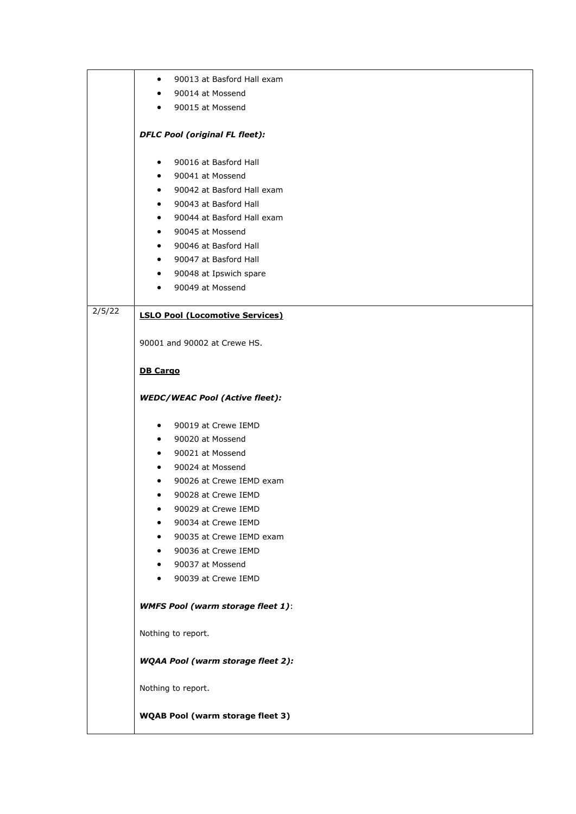|        | 90013 at Basford Hall exam<br>$\bullet$  |
|--------|------------------------------------------|
|        | 90014 at Mossend<br>$\bullet$            |
|        | 90015 at Mossend<br>$\bullet$            |
|        |                                          |
|        | <b>DFLC Pool (original FL fleet):</b>    |
|        | 90016 at Basford Hall<br>$\bullet$       |
|        | 90041 at Mossend<br>$\bullet$            |
|        | 90042 at Basford Hall exam<br>$\bullet$  |
|        | 90043 at Basford Hall<br>$\bullet$       |
|        | 90044 at Basford Hall exam<br>$\bullet$  |
|        | 90045 at Mossend<br>$\bullet$            |
|        | 90046 at Basford Hall<br>$\bullet$       |
|        | 90047 at Basford Hall<br>$\bullet$       |
|        | 90048 at Ipswich spare<br>$\bullet$      |
|        | 90049 at Mossend<br>$\bullet$            |
| 2/5/22 | <b>LSLO Pool (Locomotive Services)</b>   |
|        | 90001 and 90002 at Crewe HS.             |
|        | <b>DB Cargo</b>                          |
|        |                                          |
|        | <b>WEDC/WEAC Pool (Active fleet):</b>    |
|        | 90019 at Crewe IEMD<br>$\bullet$         |
|        | 90020 at Mossend<br>$\bullet$            |
|        | 90021 at Mossend<br>$\bullet$            |
|        | 90024 at Mossend<br>$\bullet$            |
|        | 90026 at Crewe IEMD exam<br>$\bullet$    |
|        | 90028 at Crewe IEMD<br>$\bullet$         |
|        | 90029 at Crewe IEMD<br>٠                 |
|        | 90034 at Crewe IEMD                      |
|        | 90035 at Crewe IEMD exam<br>$\bullet$    |
|        | 90036 at Crewe IEMD<br>$\bullet$         |
|        | 90037 at Mossend<br>$\bullet$            |
|        | 90039 at Crewe IEMD<br>$\bullet$         |
|        | <b>WMFS Pool (warm storage fleet 1):</b> |
|        | Nothing to report.                       |
|        | <b>WQAA Pool (warm storage fleet 2):</b> |
|        | Nothing to report.                       |
|        | <b>WQAB Pool (warm storage fleet 3)</b>  |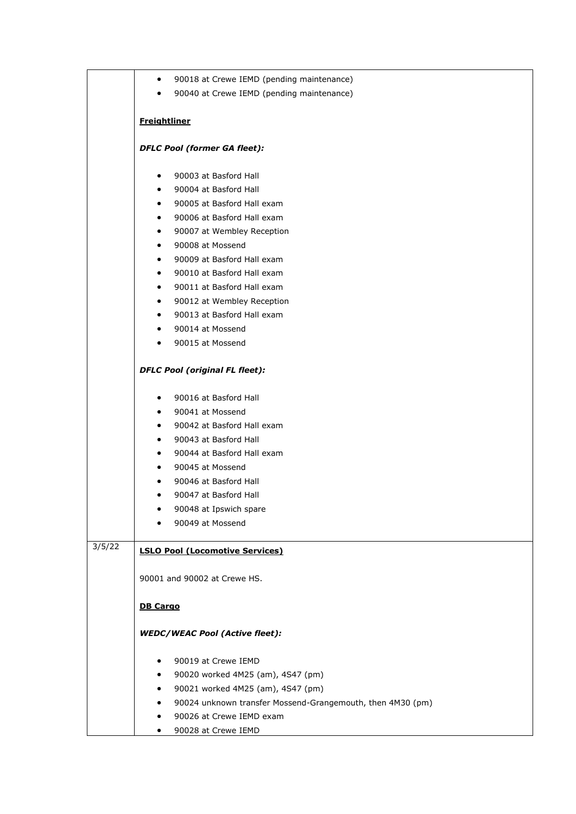|        | 90018 at Crewe IEMD (pending maintenance)<br>$\bullet$     |
|--------|------------------------------------------------------------|
|        | 90040 at Crewe IEMD (pending maintenance)<br>$\bullet$     |
|        |                                                            |
|        | <b>Freightliner</b>                                        |
|        | <b>DFLC Pool (former GA fleet):</b>                        |
|        | 90003 at Basford Hall<br>٠                                 |
|        | 90004 at Basford Hall<br>$\bullet$                         |
|        | 90005 at Basford Hall exam<br>$\bullet$                    |
|        | 90006 at Basford Hall exam<br>$\bullet$                    |
|        | 90007 at Wembley Reception<br>$\bullet$                    |
|        | 90008 at Mossend<br>$\bullet$                              |
|        | 90009 at Basford Hall exam<br>$\bullet$                    |
|        | 90010 at Basford Hall exam<br>$\bullet$                    |
|        | 90011 at Basford Hall exam<br>$\bullet$                    |
|        | 90012 at Wembley Reception<br>$\bullet$                    |
|        | 90013 at Basford Hall exam<br>$\bullet$                    |
|        | 90014 at Mossend<br>$\bullet$                              |
|        | 90015 at Mossend<br>$\bullet$                              |
|        | <b>DFLC Pool (original FL fleet):</b>                      |
|        | 90016 at Basford Hall<br>$\bullet$                         |
|        | 90041 at Mossend<br>$\bullet$                              |
|        | 90042 at Basford Hall exam<br>$\bullet$                    |
|        | 90043 at Basford Hall<br>$\bullet$                         |
|        | 90044 at Basford Hall exam<br>$\bullet$                    |
|        | 90045 at Mossend<br>$\bullet$                              |
|        | 90046 at Basford Hall<br>$\bullet$                         |
|        | 90047 at Basford Hall<br>٠                                 |
|        | 90048 at Ipswich spare                                     |
|        | 90049 at Mossend                                           |
| 3/5/22 | <b>LSLO Pool (Locomotive Services)</b>                     |
|        | 90001 and 90002 at Crewe HS.                               |
|        | <b>DB Cargo</b>                                            |
|        | <b>WEDC/WEAC Pool (Active fleet):</b>                      |
|        | 90019 at Crewe IEMD<br>٠                                   |
|        | 90020 worked 4M25 (am), 4S47 (pm)<br>٠                     |
|        | 90021 worked 4M25 (am), 4S47 (pm)<br>٠                     |
|        | 90024 unknown transfer Mossend-Grangemouth, then 4M30 (pm) |
|        | 90026 at Crewe IEMD exam                                   |
|        | 90028 at Crewe IEMD<br>٠                                   |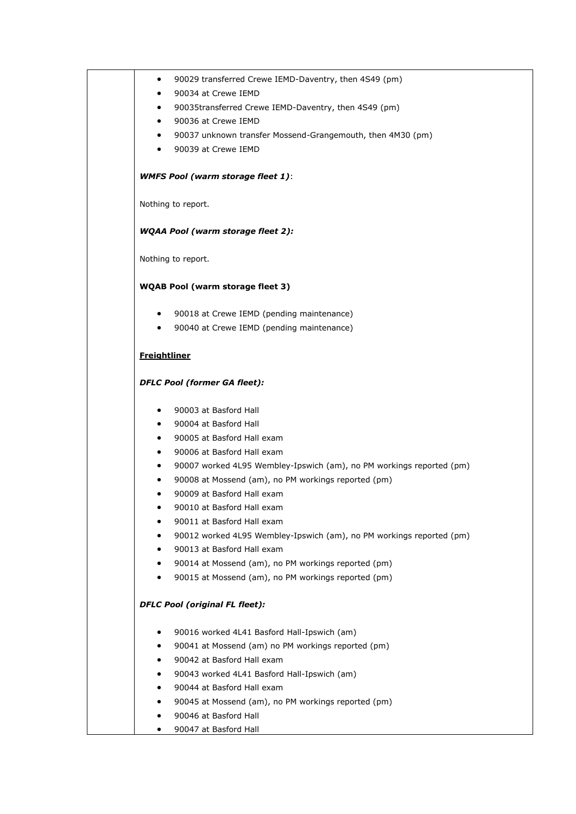|                     | 90029 transferred Crewe IEMD-Daventry, then 4S49 (pm)                                              |
|---------------------|----------------------------------------------------------------------------------------------------|
|                     | 90034 at Crewe IEMD                                                                                |
|                     | 90035transferred Crewe IEMD-Daventry, then 4S49 (pm)                                               |
| ٠                   | 90036 at Crewe IEMD                                                                                |
| ٠                   | 90037 unknown transfer Mossend-Grangemouth, then 4M30 (pm)                                         |
| ٠                   | 90039 at Crewe IEMD                                                                                |
|                     | <b>WMFS Pool (warm storage fleet 1):</b>                                                           |
|                     | Nothing to report.                                                                                 |
|                     | <b>WQAA Pool (warm storage fleet 2):</b>                                                           |
|                     | Nothing to report.                                                                                 |
|                     | <b>WQAB Pool (warm storage fleet 3)</b>                                                            |
| ٠                   | 90018 at Crewe IEMD (pending maintenance)                                                          |
| $\bullet$           | 90040 at Crewe IEMD (pending maintenance)                                                          |
| <b>Freightliner</b> |                                                                                                    |
|                     | <b>DFLC Pool (former GA fleet):</b>                                                                |
| $\bullet$           | 90003 at Basford Hall                                                                              |
| ٠                   | 90004 at Basford Hall                                                                              |
| ٠                   | 90005 at Basford Hall exam                                                                         |
| ٠                   | 90006 at Basford Hall exam                                                                         |
|                     | 90007 worked 4L95 Wembley-Ipswich (am), no PM workings reported (pm)                               |
|                     | 90008 at Mossend (am), no PM workings reported (pm)                                                |
|                     | 90009 at Basford Hall exam                                                                         |
|                     | 90010 at Basford Hall exam                                                                         |
| ٠                   | 90011 at Basford Hall exam                                                                         |
| ٠                   | 90012 worked 4L95 Wembley-Ipswich (am), no PM workings reported (pm)<br>90013 at Basford Hall exam |
|                     | 90014 at Mossend (am), no PM workings reported (pm)                                                |
|                     | 90015 at Mossend (am), no PM workings reported (pm)                                                |
|                     | <b>DFLC Pool (original FL fleet):</b>                                                              |
|                     | 90016 worked 4L41 Basford Hall-Ipswich (am)                                                        |
|                     | 90041 at Mossend (am) no PM workings reported (pm)                                                 |
|                     | 90042 at Basford Hall exam                                                                         |
|                     | 90043 worked 4L41 Basford Hall-Ipswich (am)                                                        |
|                     | 90044 at Basford Hall exam                                                                         |
|                     | 90045 at Mossend (am), no PM workings reported (pm)                                                |
|                     | 90046 at Basford Hall                                                                              |
|                     |                                                                                                    |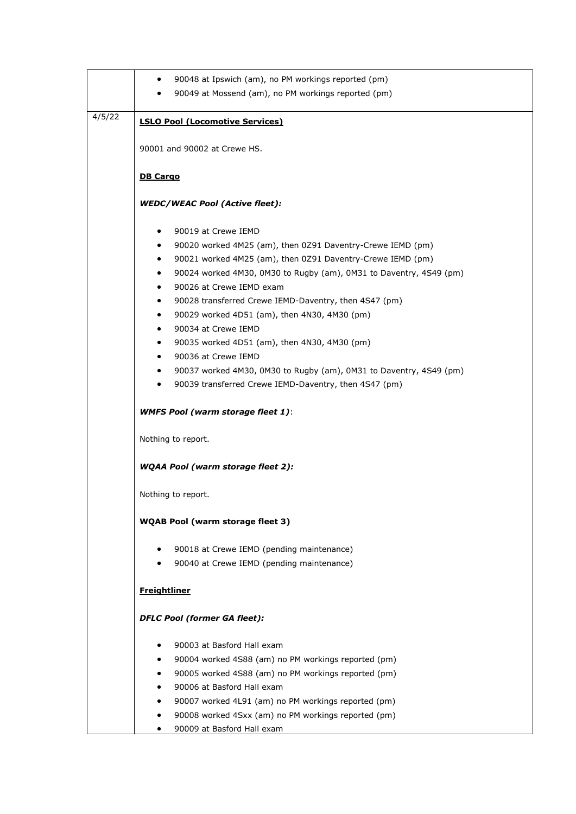|        | 90048 at Ipswich (am), no PM workings reported (pm)<br>$\bullet$                |
|--------|---------------------------------------------------------------------------------|
|        | 90049 at Mossend (am), no PM workings reported (pm)                             |
|        |                                                                                 |
| 4/5/22 | <b>LSLO Pool (Locomotive Services)</b>                                          |
|        |                                                                                 |
|        | 90001 and 90002 at Crewe HS.                                                    |
|        |                                                                                 |
|        | <b>DB Cargo</b>                                                                 |
|        | <b>WEDC/WEAC Pool (Active fleet):</b>                                           |
|        |                                                                                 |
|        | 90019 at Crewe IEMD                                                             |
|        | 90020 worked 4M25 (am), then 0Z91 Daventry-Crewe IEMD (pm)<br>٠                 |
|        | 90021 worked 4M25 (am), then 0Z91 Daventry-Crewe IEMD (pm)<br>$\bullet$         |
|        | 90024 worked 4M30, 0M30 to Rugby (am), 0M31 to Daventry, 4S49 (pm)              |
|        | 90026 at Crewe IEMD exam<br>$\bullet$                                           |
|        | 90028 transferred Crewe IEMD-Daventry, then 4S47 (pm)<br>$\bullet$              |
|        | 90029 worked 4D51 (am), then 4N30, 4M30 (pm)<br>$\bullet$                       |
|        | 90034 at Crewe IEMD<br>$\bullet$                                                |
|        | 90035 worked 4D51 (am), then 4N30, 4M30 (pm)                                    |
|        | 90036 at Crewe IEMD                                                             |
|        | 90037 worked 4M30, 0M30 to Rugby (am), 0M31 to Daventry, 4S49 (pm)<br>$\bullet$ |
|        | 90039 transferred Crewe IEMD-Daventry, then 4S47 (pm)                           |
|        |                                                                                 |
|        | <b>WMFS Pool (warm storage fleet 1):</b>                                        |
|        |                                                                                 |
|        | Nothing to report.                                                              |
|        | <b>WQAA Pool (warm storage fleet 2):</b>                                        |
|        |                                                                                 |
|        | Nothing to report.                                                              |
|        |                                                                                 |
|        | <b>WQAB Pool (warm storage fleet 3)</b>                                         |
|        |                                                                                 |
|        | 90018 at Crewe IEMD (pending maintenance)                                       |
|        | 90040 at Crewe IEMD (pending maintenance)                                       |
|        |                                                                                 |
|        | <b>Freightliner</b>                                                             |
|        |                                                                                 |
|        | <b>DFLC Pool (former GA fleet):</b>                                             |
|        | 90003 at Basford Hall exam                                                      |
|        | 90004 worked 4S88 (am) no PM workings reported (pm)                             |
|        | 90005 worked 4S88 (am) no PM workings reported (pm)                             |
|        | 90006 at Basford Hall exam                                                      |
|        | 90007 worked 4L91 (am) no PM workings reported (pm)                             |
|        | 90008 worked 4Sxx (am) no PM workings reported (pm)                             |
|        | 90009 at Basford Hall exam                                                      |
|        |                                                                                 |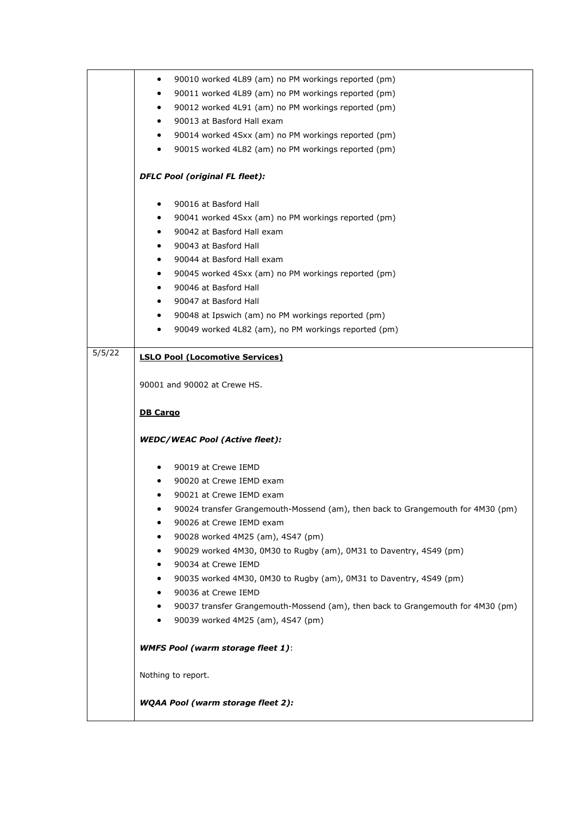|        | 90010 worked 4L89 (am) no PM workings reported (pm)<br>٠                        |
|--------|---------------------------------------------------------------------------------|
|        | 90011 worked 4L89 (am) no PM workings reported (pm)<br>$\bullet$                |
|        | 90012 worked 4L91 (am) no PM workings reported (pm)<br>٠                        |
|        | 90013 at Basford Hall exam<br>$\bullet$                                         |
|        | 90014 worked 4Sxx (am) no PM workings reported (pm)<br>$\bullet$                |
|        | 90015 worked 4L82 (am) no PM workings reported (pm)<br>٠                        |
|        |                                                                                 |
|        | <b>DFLC Pool (original FL fleet):</b>                                           |
|        | 90016 at Basford Hall<br>$\bullet$                                              |
|        | 90041 worked 4Sxx (am) no PM workings reported (pm)<br>$\bullet$                |
|        | 90042 at Basford Hall exam<br>$\bullet$                                         |
|        | 90043 at Basford Hall<br>$\bullet$                                              |
|        | 90044 at Basford Hall exam<br>٠                                                 |
|        | 90045 worked 4Sxx (am) no PM workings reported (pm)<br>$\bullet$                |
|        | 90046 at Basford Hall<br>$\bullet$                                              |
|        | 90047 at Basford Hall<br>$\bullet$                                              |
|        | 90048 at Ipswich (am) no PM workings reported (pm)<br>$\bullet$                 |
|        | 90049 worked 4L82 (am), no PM workings reported (pm)<br>٠                       |
| 5/5/22 | <b>LSLO Pool (Locomotive Services)</b>                                          |
|        |                                                                                 |
|        | 90001 and 90002 at Crewe HS.                                                    |
|        | <b>DB Cargo</b>                                                                 |
|        | <b>WEDC/WEAC Pool (Active fleet):</b>                                           |
|        |                                                                                 |
|        | 90019 at Crewe IEMD                                                             |
|        | 90020 at Crewe IEMD exam                                                        |
|        | 90021 at Crewe IEMD exam<br>٠                                                   |
|        | 90024 transfer Grangemouth-Mossend (am), then back to Grangemouth for 4M30 (pm) |
|        | 90026 at Crewe IEMD exam                                                        |
|        | 90028 worked 4M25 (am), 4S47 (pm)<br>٠                                          |
|        | 90029 worked 4M30, 0M30 to Rugby (am), 0M31 to Daventry, 4S49 (pm)<br>٠         |
|        | 90034 at Crewe IEMD<br>٠                                                        |
|        | 90035 worked 4M30, 0M30 to Rugby (am), 0M31 to Daventry, 4S49 (pm)<br>٠         |
|        | 90036 at Crewe IEMD<br>٠                                                        |
|        | 90037 transfer Grangemouth-Mossend (am), then back to Grangemouth for 4M30 (pm) |
|        | 90039 worked 4M25 (am), 4S47 (pm)                                               |
|        | <b>WMFS Pool (warm storage fleet 1):</b>                                        |
|        | Nothing to report.                                                              |
|        | <b>WQAA Pool (warm storage fleet 2):</b>                                        |
|        |                                                                                 |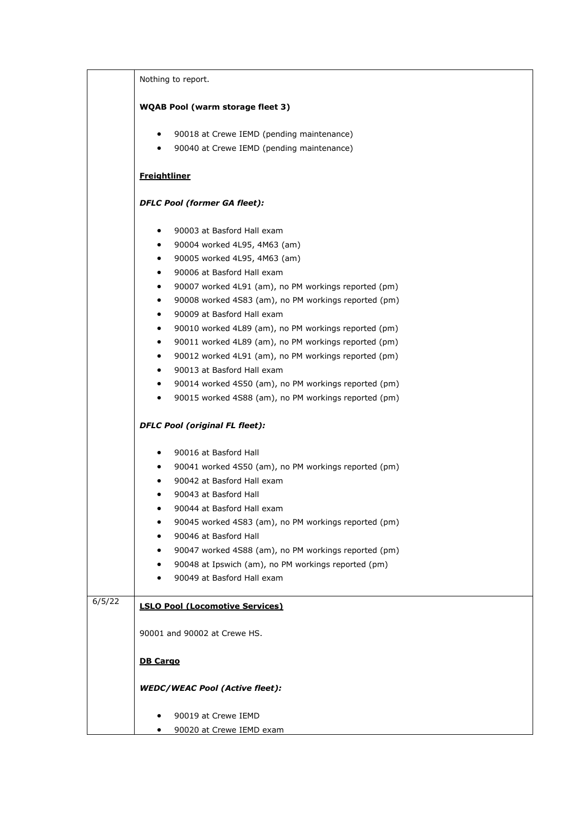|        | Nothing to report.                                                |
|--------|-------------------------------------------------------------------|
|        | <b>WQAB Pool (warm storage fleet 3)</b>                           |
|        |                                                                   |
|        | 90018 at Crewe IEMD (pending maintenance)<br>$\bullet$            |
|        | 90040 at Crewe IEMD (pending maintenance)<br>$\bullet$            |
|        | <b>Freightliner</b>                                               |
|        | <b>DFLC Pool (former GA fleet):</b>                               |
|        | 90003 at Basford Hall exam<br>$\bullet$                           |
|        | 90004 worked 4L95, 4M63 (am)<br>$\bullet$                         |
|        | 90005 worked 4L95, 4M63 (am)<br>$\bullet$                         |
|        | 90006 at Basford Hall exam<br>$\bullet$                           |
|        | 90007 worked 4L91 (am), no PM workings reported (pm)<br>$\bullet$ |
|        | 90008 worked 4S83 (am), no PM workings reported (pm)<br>$\bullet$ |
|        | 90009 at Basford Hall exam<br>$\bullet$                           |
|        | 90010 worked 4L89 (am), no PM workings reported (pm)<br>$\bullet$ |
|        | 90011 worked 4L89 (am), no PM workings reported (pm)<br>$\bullet$ |
|        | 90012 worked 4L91 (am), no PM workings reported (pm)<br>$\bullet$ |
|        | 90013 at Basford Hall exam<br>$\bullet$                           |
|        | 90014 worked 4S50 (am), no PM workings reported (pm)<br>$\bullet$ |
|        | 90015 worked 4S88 (am), no PM workings reported (pm)<br>$\bullet$ |
|        | <b>DFLC Pool (original FL fleet):</b>                             |
|        | 90016 at Basford Hall<br>٠                                        |
|        | 90041 worked 4S50 (am), no PM workings reported (pm)<br>$\bullet$ |
|        | 90042 at Basford Hall exam<br>$\bullet$                           |
|        | 90043 at Basford Hall<br>٠                                        |
|        | 90044 at Basford Hall exam<br>٠                                   |
|        | 90045 worked 4S83 (am), no PM workings reported (pm)              |
|        | 90046 at Basford Hall                                             |
|        | 90047 worked 4S88 (am), no PM workings reported (pm)<br>٠         |
|        | 90048 at Ipswich (am), no PM workings reported (pm)<br>٠          |
|        | 90049 at Basford Hall exam<br>٠                                   |
| 6/5/22 | <b>LSLO Pool (Locomotive Services)</b>                            |
|        |                                                                   |
|        | 90001 and 90002 at Crewe HS.                                      |
|        | <b>DB Cargo</b>                                                   |
|        | <b>WEDC/WEAC Pool (Active fleet):</b>                             |
|        |                                                                   |
|        | 90019 at Crewe IEMD                                               |
|        | 90020 at Crewe IEMD exam<br>٠                                     |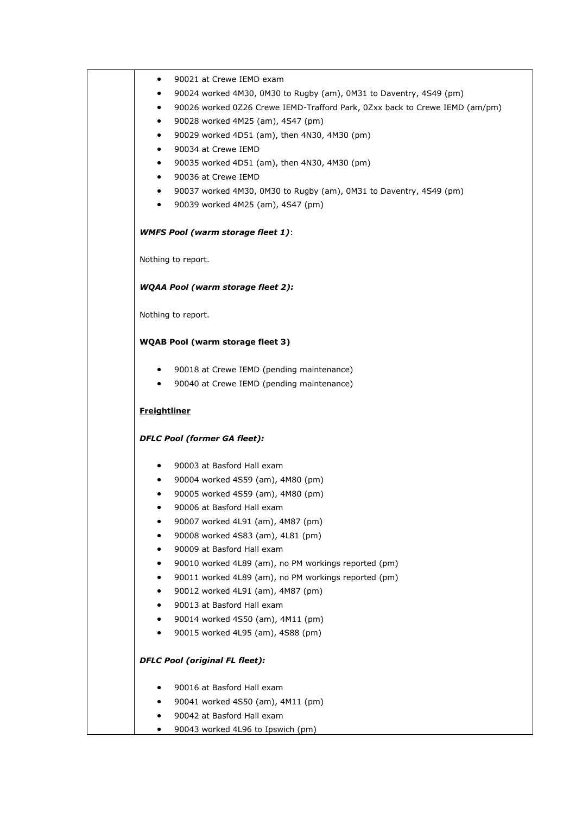| ٠                   | 90021 at Crewe IEMD exam                                                    |
|---------------------|-----------------------------------------------------------------------------|
|                     | 90024 worked 4M30, 0M30 to Rugby (am), 0M31 to Daventry, 4S49 (pm)          |
| ٠                   | 90026 worked 0Z26 Crewe IEMD-Trafford Park, 0Zxx back to Crewe IEMD (am/pm) |
| $\bullet$           | 90028 worked 4M25 (am), 4S47 (pm)                                           |
| $\bullet$           | 90029 worked 4D51 (am), then 4N30, 4M30 (pm)                                |
| $\bullet$           | 90034 at Crewe IEMD                                                         |
| ٠                   | 90035 worked 4D51 (am), then 4N30, 4M30 (pm)                                |
| $\bullet$           | 90036 at Crewe IEMD                                                         |
| $\bullet$           | 90037 worked 4M30, 0M30 to Rugby (am), 0M31 to Daventry, 4S49 (pm)          |
| $\bullet$           | 90039 worked 4M25 (am), 4S47 (pm)                                           |
|                     | <b>WMFS Pool (warm storage fleet 1):</b>                                    |
|                     | Nothing to report.                                                          |
|                     | <b>WQAA Pool (warm storage fleet 2):</b>                                    |
|                     | Nothing to report.                                                          |
|                     | <b>WQAB Pool (warm storage fleet 3)</b>                                     |
|                     |                                                                             |
| $\bullet$           | 90018 at Crewe IEMD (pending maintenance)                                   |
| $\bullet$           | 90040 at Crewe IEMD (pending maintenance)                                   |
| <b>Freightliner</b> |                                                                             |
|                     | <b>DFLC Pool (former GA fleet):</b>                                         |
| $\bullet$           | 90003 at Basford Hall exam                                                  |
| $\bullet$           | 90004 worked 4S59 (am), 4M80 (pm)                                           |
| ٠                   | 90005 worked 4S59 (am), 4M80 (pm)                                           |
|                     | 90006 at Basford Hall exam                                                  |
|                     | 90007 worked 4L91 (am), 4M87 (pm)                                           |
|                     | 90008 worked 4S83 (am), 4L81 (pm)                                           |
|                     | 90009 at Basford Hall exam                                                  |
|                     | 90010 worked 4L89 (am), no PM workings reported (pm)                        |
| ٠                   | 90011 worked 4L89 (am), no PM workings reported (pm)                        |
| $\bullet$           | 90012 worked 4L91 (am), 4M87 (pm)                                           |
| ٠                   | 90013 at Basford Hall exam                                                  |
| ٠                   | 90014 worked 4S50 (am), 4M11 (pm)                                           |
| $\bullet$           | 90015 worked 4L95 (am), 4S88 (pm)                                           |
|                     | <b>DFLC Pool (original FL fleet):</b>                                       |
|                     | 90016 at Basford Hall exam                                                  |
|                     | 90041 worked 4S50 (am), 4M11 (pm)                                           |
| ٠                   | 90042 at Basford Hall exam                                                  |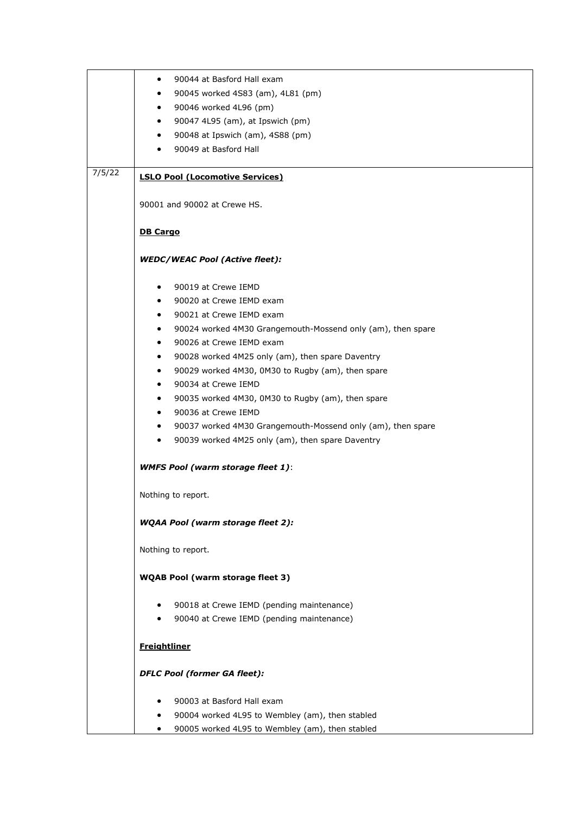|        | 90044 at Basford Hall exam<br>$\bullet$                                  |
|--------|--------------------------------------------------------------------------|
|        | 90045 worked 4S83 (am), 4L81 (pm)<br>$\bullet$                           |
|        | 90046 worked 4L96 (pm)<br>$\bullet$                                      |
|        | 90047 4L95 (am), at Ipswich (pm)<br>$\bullet$                            |
|        | 90048 at Ipswich (am), 4S88 (pm)<br>$\bullet$                            |
|        | 90049 at Basford Hall<br>$\bullet$                                       |
|        |                                                                          |
| 7/5/22 | <b>LSLO Pool (Locomotive Services)</b>                                   |
|        | 90001 and 90002 at Crewe HS.                                             |
|        | <b>DB Cargo</b>                                                          |
|        | <b>WEDC/WEAC Pool (Active fleet):</b>                                    |
|        | 90019 at Crewe IEMD<br>$\bullet$                                         |
|        | 90020 at Crewe IEMD exam<br>$\bullet$                                    |
|        | 90021 at Crewe IEMD exam                                                 |
|        | $\bullet$                                                                |
|        | 90024 worked 4M30 Grangemouth-Mossend only (am), then spare<br>$\bullet$ |
|        | 90026 at Crewe IEMD exam<br>$\bullet$                                    |
|        | 90028 worked 4M25 only (am), then spare Daventry<br>$\bullet$            |
|        | 90029 worked 4M30, 0M30 to Rugby (am), then spare<br>$\bullet$           |
|        | 90034 at Crewe IEMD<br>$\bullet$                                         |
|        | 90035 worked 4M30, 0M30 to Rugby (am), then spare<br>$\bullet$           |
|        | 90036 at Crewe IEMD<br>$\bullet$                                         |
|        | 90037 worked 4M30 Grangemouth-Mossend only (am), then spare<br>$\bullet$ |
|        | 90039 worked 4M25 only (am), then spare Daventry<br>$\bullet$            |
|        | <b>WMFS Pool (warm storage fleet 1):</b>                                 |
|        | Nothing to report.                                                       |
|        | <b>WQAA Pool (warm storage fleet 2):</b>                                 |
|        | Nothing to report.                                                       |
|        | <b>WQAB Pool (warm storage fleet 3)</b>                                  |
|        | 90018 at Crewe IEMD (pending maintenance)                                |
|        | 90040 at Crewe IEMD (pending maintenance)                                |
|        |                                                                          |
|        | <b>Freightliner</b>                                                      |
|        | <b>DFLC Pool (former GA fleet):</b>                                      |
|        | 90003 at Basford Hall exam                                               |
|        |                                                                          |
|        | 90004 worked 4L95 to Wembley (am), then stabled                          |
|        | 90005 worked 4L95 to Wembley (am), then stabled                          |